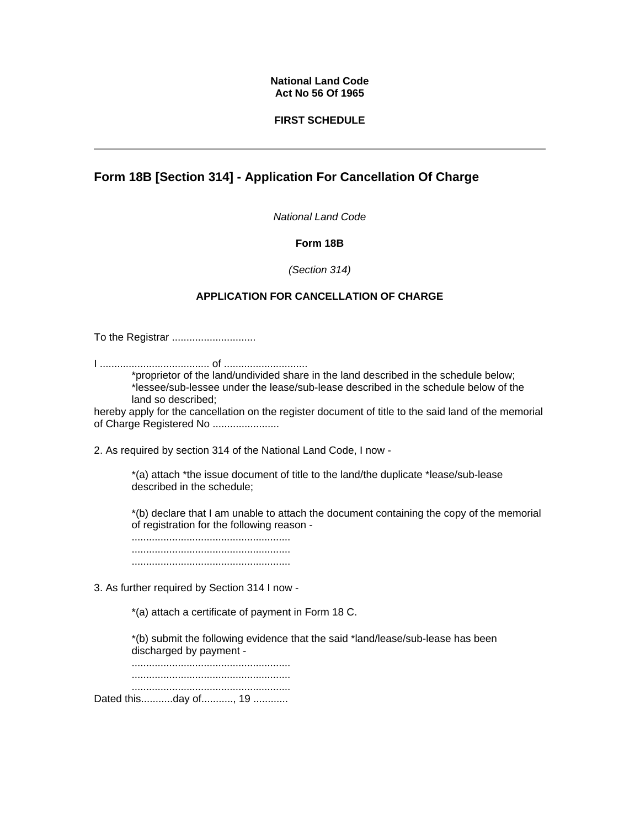#### **National Land Code Act No 56 Of 1965**

### **FIRST SCHEDULE**

# **Form 18B [Section 314] - Application For Cancellation Of Charge**

*National Land Code*

## **Form 18B**

#### *(Section 314)*

## **APPLICATION FOR CANCELLATION OF CHARGE**

To the Registrar .............................

I ...................................... of .............................

\*proprietor of the land/undivided share in the land described in the schedule below; \*lessee/sub-lessee under the lease/sub-lease described in the schedule below of the land so described;

hereby apply for the cancellation on the register document of title to the said land of the memorial of Charge Registered No .......................

2. As required by section 314 of the National Land Code, I now -

\*(a) attach \*the issue document of title to the land/the duplicate \*lease/sub-lease described in the schedule;

\*(b) declare that I am unable to attach the document containing the copy of the memorial of registration for the following reason -

....................................................... ....................................................... .......................................................

3. As further required by Section 314 I now -

\*(a) attach a certificate of payment in Form 18 C.

\*(b) submit the following evidence that the said \*land/lease/sub-lease has been discharged by payment -

....................................................... ....................................................... ....................................................... Dated this...........day of..........., 19 ............